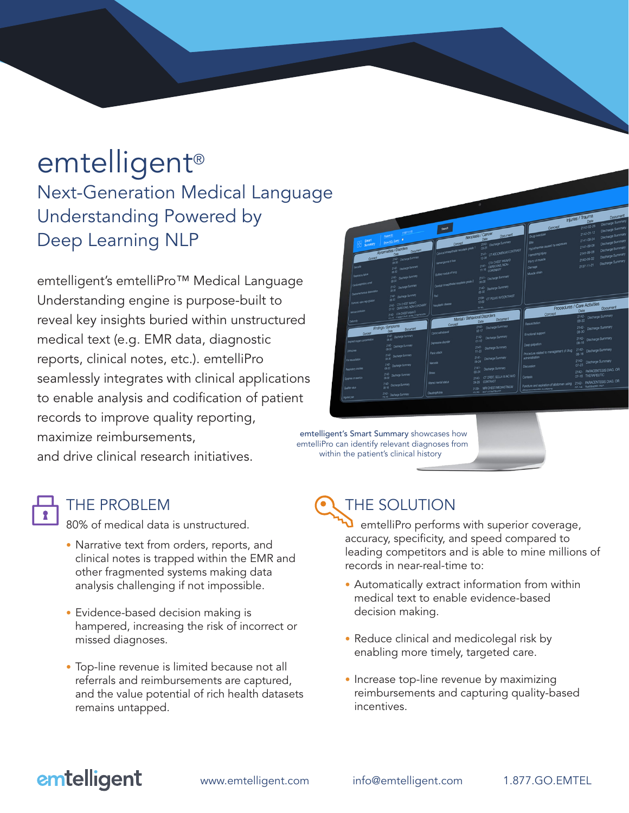# emtelligent®

Next-Generation Medical Language Understanding Powered by Deep Learning NLP

emtelligent's emtelliPro™ Medical Language Understanding engine is purpose-built to reveal key insights buried within unstructured medical text (e.g. EMR data, diagnostic reports, clinical notes, etc.). emtelliPro seamlessly integrates with clinical applications to enable analysis and codification of patient records to improve quality reporting, maximize reimbursements, and drive clinical research initiatives.



emtelligent's Smart Summary showcases how emtelliPro can identify relevant diagnoses from within the patient's clinical history

80% of medical data is unstructured.

- Narrative text from orders, reports, and clinical notes is trapped within the EMR and other fragmented systems making data analysis challenging if not impossible.
- Evidence-based decision making is hampered, increasing the risk of incorrect or missed diagnoses.
- Top-line revenue is limited because not all referrals and reimbursements are captured, and the value potential of rich health datasets remains untapped.

## THE PROBLEM **THE SOLUTION**

 emtelliPro performs with superior coverage, accuracy, specificity, and speed compared to leading competitors and is able to mine millions of records in near-real-time to:

- Automatically extract information from within medical text to enable evidence-based decision making.
- Reduce clinical and medicolegal risk by enabling more timely, targeted care.
- Increase top-line revenue by maximizing reimbursements and capturing quality-based incentives.

## emtelligent